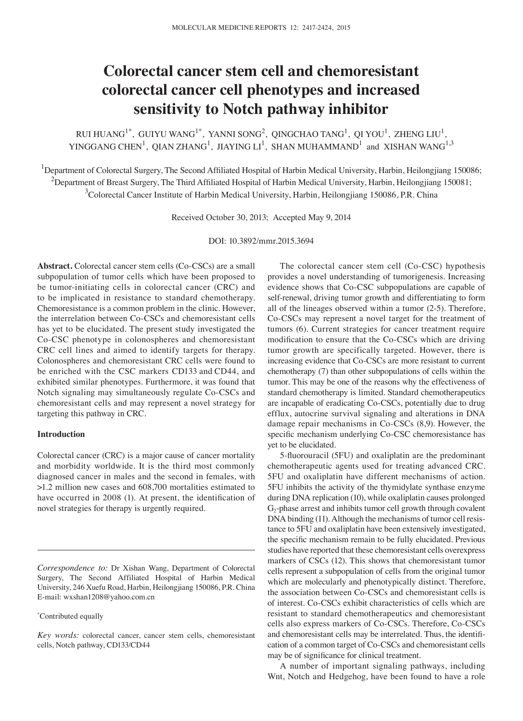# **Colorectal cancer stem cell and chemoresistant colorectal cancer cell phenotypes and increased sensitivity to Notch pathway inhibitor**

RUI HUANG $^{1*}$ , GUIYU WANG $^{1*}$ , YANNI SONG $^{2}$ , QINGCHAO TANG $^{1}$ , QI YOU $^{1}$ , ZHENG LIU $^{1}$ , YINGGANG CHEN<sup>1</sup>, QIAN ZHANG<sup>1</sup>, JIAYING LI<sup>1</sup>, SHAN MUHAMMAND<sup>1</sup> and XISHAN WANG<sup>1,3</sup>

<sup>1</sup>Department of Colorectal Surgery, The Second Affiliated Hospital of Harbin Medical University, Harbin, Heilongjiang 150086;  $^2$ Department of Breast Surgery, The Third Affiliated Hospital of Harbin Medical University, Harbin, Heilongjiang 150081; <sup>3</sup>Colorectal Cancer Institute of Harbin Medical University, Harbin, Heilongjiang 150086, P.R. China

Received October 30, 2013; Accepted May 9, 2014

DOI: 10.3892/mmr.2015.3694

**Abstract.** Colorectal cancer stem cells (Co-CSCs) are a small subpopulation of tumor cells which have been proposed to be tumor-initiating cells in colorectal cancer (CRC) and to be implicated in resistance to standard chemotherapy. Chemoresistance is a common problem in the clinic. However, the interrelation between Co-CSCs and chemoresistant cells has yet to be elucidated. The present study investigated the Co-CSC phenotype in colonospheres and chemoresistant CRC cell lines and aimed to identify targets for therapy. Colonospheres and chemoresistant CRC cells were found to be enriched with the CSC markers CD133 and CD44, and exhibited similar phenotypes. Furthermore, it was found that Notch signaling may simultaneously regulate Co-CSCs and chemoresistant cells and may represent a novel strategy for targeting this pathway in CRC.

### **Introduction**

Colorectal cancer (CRC) is a major cause of cancer mortality and morbidity worldwide. It is the third most commonly diagnosed cancer in males and the second in females, with >1.2 million new cases and 608,700 mortalities estimated to have occurred in 2008 (1). At present, the identification of novel strategies for therapy is urgently required.

*Correspondence to:* Dr Xishan Wang, Department of Colorectal Surgery, The Second Affiliated Hospital of Harbin Medical University, 246 Xuefu Road, Harbin, Heilongjiang 150086, P.R. China E-mail: wxshan1208@yahoo.com.cn

\* Contributed equally

The colorectal cancer stem cell (Co-CSC) hypothesis provides a novel understanding of tumorigenesis. Increasing evidence shows that Co-CSC subpopulations are capable of self-renewal, driving tumor growth and differentiating to form all of the lineages observed within a tumor (2-5). Therefore, Co-CSCs may represent a novel target for the treatment of tumors (6). Current strategies for cancer treatment require modification to ensure that the Co‑CSCs which are driving tumor growth are specifically targeted. However, there is increasing evidence that Co-CSCs are more resistant to current chemotherapy (7) than other subpopulations of cells within the tumor. This may be one of the reasons why the effectiveness of standard chemotherapy is limited. Standard chemotherapeutics are incapable of eradicating Co-CSCs, potentially due to drug efflux, autocrine survival signaling and alterations in DNA damage repair mechanisms in Co-CSCs (8,9). However, the specific mechanism underlying Co-CSC chemoresistance has yet to be elucidated.

5‑fluorouracil (5FU) and oxaliplatin are the predominant chemotherapeutic agents used for treating advanced CRC. 5FU and oxaliplatin have different mechanisms of action. 5FU inhibits the activity of the thymidylate synthase enzyme during DNA replication (10), while oxaliplatin causes prolonged  $G<sub>2</sub>$ -phase arrest and inhibits tumor cell growth through covalent DNA binding (11). Although the mechanisms of tumor cell resistance to 5FU and oxaliplatin have been extensively investigated, the specific mechanism remain to be fully elucidated. Previous studies have reported that these chemoresistant cells overexpress markers of CSCs (12). This shows that chemoresistant tumor cells represent a subpopulation of cells from the original tumor which are molecularly and phenotypically distinct. Therefore, the association between Co-CSCs and chemoresistant cells is of interest. Co-CSCs exhibit characteristics of cells which are resistant to standard chemotherapeutics and chemoresistant cells also express markers of Co-CSCs. Therefore, Co-CSCs and chemoresistant cells may be interrelated. Thus, the identification of a common target of Co-CSCs and chemoresistant cells may be of significance for clinical treatment.

A number of important signaling pathways, including Wnt, Notch and Hedgehog, have been found to have a role

*Key words:* colorectal cancer, cancer stem cells, chemoresistant cells, Notch pathway, CD133/CD44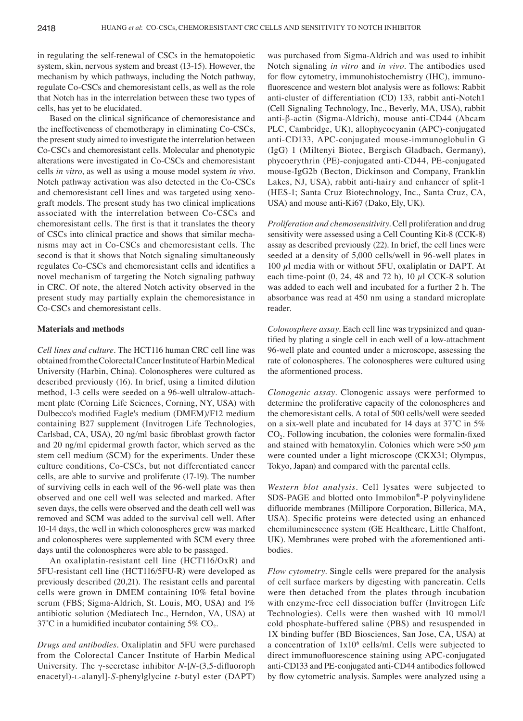in regulating the self-renewal of CSCs in the hematopoietic system, skin, nervous system and breast (13-15). However, the mechanism by which pathways, including the Notch pathway, regulate Co-CSCs and chemoresistant cells, as well as the role that Notch has in the interrelation between these two types of cells, has yet to be elucidated.

Based on the clinical significance of chemoresistance and the ineffectiveness of chemotherapy in eliminating Co-CSCs, the present study aimed to investigate the interrelation between Co-CSCs and chemoresistant cells. Molecular and phenotypic alterations were investigated in Co-CSCs and chemoresistant cells *in vitro*, as well as using a mouse model system *in vivo*. Notch pathway activation was also detected in the Co-CSCs and chemoresistant cell lines and was targeted using xenograft models. The present study has two clinical implications associated with the interrelation between Co-CSCs and chemoresistant cells. The first is that it translates the theory of CSCs into clinical practice and shows that similar mechanisms may act in Co-CSCs and chemoresistant cells. The second is that it shows that Notch signaling simultaneously regulates Co‑CSCs and chemoresistant cells and identifies a novel mechanism of targeting the Notch signaling pathway in CRC. Of note, the altered Notch activity observed in the present study may partially explain the chemoresistance in Co-CSCs and chemoresistant cells.

#### **Materials and methods**

*Cell lines and culture.* The HCT116 human CRC cell line was obtained from the Colorectal Cancer Institute of Harbin Medical University (Harbin, China). Colonospheres were cultured as described previously (16). In brief, using a limited dilution method, 1-3 cells were seeded on a 96-well ultralow-attachment plate (Corning Life Sciences, Corning, NY, USA) with Dulbecco's modified Eagle's medium (DMEM)/F12 medium containing B27 supplement (Invitrogen Life Technologies, Carlsbad, CA, USA), 20 ng/ml basic fibroblast growth factor and 20 ng/ml epidermal growth factor, which served as the stem cell medium (SCM) for the experiments. Under these culture conditions, Co-CSCs, but not differentiated cancer cells, are able to survive and proliferate (17-19). The number of surviving cells in each well of the 96-well plate was then observed and one cell well was selected and marked. After seven days, the cells were observed and the death cell well was removed and SCM was added to the survival cell well. After 10-14 days, the well in which colonospheres grew was marked and colonospheres were supplemented with SCM every three days until the colonospheres were able to be passaged.

An oxaliplatin-resistant cell line (HCT116/OxR) and 5FU-resistant cell line (HCT116/5FU-R) were developed as previously described (20,21). The resistant cells and parental cells were grown in DMEM containing 10% fetal bovine serum (FBS; Sigma-Aldrich, St. Louis, MO, USA) and 1% antibiotic solution (Mediatech Inc., Herndon, VA, USA) at 37°C in a humidified incubator containing 5%  $CO<sub>2</sub>$ .

*Drugs and antibodies.* Oxaliplatin and 5FU were purchased from the Colorectal Cancer Institute of Harbin Medical University. The γ-secretase inhibitor *N*-[*N*‑(3,5‑difluoroph enacetyl)-l-alanyl]-*S*-phenylglycine *t*-butyl ester (DAPT)

was purchased from Sigma-Aldrich and was used to inhibit Notch signaling *in vitro* and *in vivo*. The antibodies used for flow cytometry, immunohistochemistry (IHC), immunofluorescence and western blot analysis were as follows: Rabbit anti-cluster of differentiation (CD) 133, rabbit anti-Notch1 (Cell Signaling Technology, Inc., Beverly, MA, USA), rabbit anti-β-actin (Sigma-Aldrich), mouse anti-CD44 (Abcam PLC, Cambridge, UK), allophycocyanin (APC)-conjugated anti-CD133, APC-conjugated mouse-immunoglobulin G (IgG) 1 (Miltenyi Biotec, Bergisch Gladbach, Germany), phycoerythrin (PE)-conjugated anti-CD44, PE-conjugated mouse-IgG2b (Becton, Dickinson and Company, Franklin Lakes, NJ, USA), rabbit anti-hairy and enhancer of split-1 (HES‑1; Santa Cruz Biotechnology, Inc., Santa Cruz, CA, USA) and mouse anti-Ki67 (Dako, Ely, UK).

*Proliferation and chemosensitivity.* Cell proliferation and drug sensitivity were assessed using a Cell Counting Kit-8 (CCK-8) assay as described previously (22). In brief, the cell lines were seeded at a density of 5,000 cells/well in 96-well plates in 100  $\mu$ l media with or without 5FU, oxaliplatin or DAPT. At each time-point  $(0, 24, 48$  and  $72$  h),  $10 \mu$ l CCK-8 solution was added to each well and incubated for a further 2 h. The absorbance was read at 450 nm using a standard microplate reader.

*Colonosphere assay.* Each cell line was trypsinized and quantified by plating a single cell in each well of a low‑attachment 96-well plate and counted under a microscope, assessing the rate of colonospheres. The colonospheres were cultured using the aformentioned process.

*Clonogenic assay.* Clonogenic assays were performed to determine the proliferative capacity of the colonospheres and the chemoresistant cells. A total of 500 cells/well were seeded on a six‑well plate and incubated for 14 days at 37˚C in 5% CO<sub>2</sub>. Following incubation, the colonies were formalin-fixed and stained with hematoxylin. Colonies which were  $>50 \mu m$ were counted under a light microscope (CKX31; Olympus, Tokyo, Japan) and compared with the parental cells.

*Western blot analysis.* Cell lysates were subjected to SDS-PAGE and blotted onto Immobilon®-P polyvinylidene difluoride membranes (Millipore Corporation, Billerica, MA, USA). Specific proteins were detected using an enhanced chemiluminescence system (GE Healthcare, Little Chalfont, UK). Membranes were probed with the aforementioned antibodies.

*Flow cytometry.* Single cells were prepared for the analysis of cell surface markers by digesting with pancreatin. Cells were then detached from the plates through incubation with enzyme-free cell dissociation buffer (Invitrogen Life Technologies). Cells were then washed with 10 mmol/l cold phosphate-buffered saline (PBS) and resuspended in 1X binding buffer (BD Biosciences, San Jose, CA, USA) at a concentration of  $1x10^6$  cells/ml. Cells were subjected to direct immunofluorescence staining using APC‑conjugated anti-CD133 and PE-conjugated anti-CD44 antibodies followed by flow cytometric analysis. Samples were analyzed using a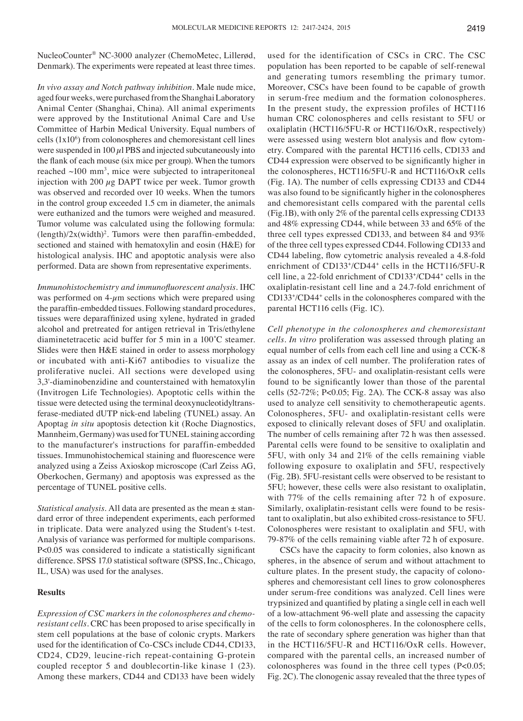NucleoCounter® NC-3000 analyzer (ChemoMetec, Lillerød, Denmark). The experiments were repeated at least three times.

*In vivo assay and Notch pathway inhibition.* Male nude mice, aged four weeks, were purchased from the Shanghai Laboratory Animal Center (Shanghai, China). All animal experiments were approved by the Institutional Animal Care and Use Committee of Harbin Medical University. Equal numbers of cells  $(1x10<sup>6</sup>)$  from colonospheres and chemoresistant cell lines were suspended in  $100 \mu$ l PBS and injected subcutaneously into the flank of each mouse (six mice per group). When the tumors reached  $\sim$ 100 mm<sup>3</sup>, mice were subjected to intraperitoneal injection with 200  $\mu$ g DAPT twice per week. Tumor growth was observed and recorded over 10 weeks. When the tumors in the control group exceeded 1.5 cm in diameter, the animals were euthanized and the tumors were weighed and measured. Tumor volume was calculated using the following formula:  $(\text{length})/2x(\text{width})^2$ . Tumors were then paraffin-embedded, sectioned and stained with hematoxylin and eosin (H&E) for histological analysis. IHC and apoptotic analysis were also performed. Data are shown from representative experiments.

*Immunohistochemistry and immunofluorescent analysis.* IHC was performed on  $4-\mu m$  sections which were prepared using the paraffin-embedded tissues. Following standard procedures, tissues were deparaffinized using xylene, hydrated in graded alcohol and pretreated for antigen retrieval in Tris/ethylene diaminetetracetic acid buffer for 5 min in a 100˚C steamer. Slides were then H&E stained in order to assess morphology or incubated with anti-Ki67 antibodies to visualize the proliferative nuclei. All sections were developed using 3,3'-diaminobenzidine and counterstained with hematoxylin (Invitrogen Life Technologies). Apoptotic cells within the tissue were detected using the terminal deoxynucleotidyltransferase-mediated dUTP nick-end labeling (TUNEL) assay. An Apoptag *in situ* apoptosis detection kit (Roche Diagnostics, Mannheim, Germany) was used for TUNEL staining according to the manufacturer's instructions for paraffin-embedded tissues. Immunohistochemical staining and fluorescence were analyzed using a Zeiss Axioskop microscope (Carl Zeiss AG, Oberkochen, Germany) and apoptosis was expressed as the percentage of TUNEL positive cells.

*Statistical analysis.* All data are presented as the mean ± standard error of three independent experiments, each performed in triplicate. Data were analyzed using the Student's t-test. Analysis of variance was performed for multiple comparisons. P<0.05 was considered to indicate a statistically significant difference. SPSS 17.0 statistical software (SPSS, Inc., Chicago, IL, USA) was used for the analyses.

## **Results**

*Expression of CSC markers in the colonospheres and chemoresistant cells.* CRC has been proposed to arise specifically in stem cell populations at the base of colonic crypts. Markers used for the identification of Co‑CSCs include CD44, CD133, CD24, CD29, leucine-rich repeat-containing G-protein coupled receptor 5 and doublecortin-like kinase 1 (23). Among these markers, CD44 and CD133 have been widely used for the identification of CSCs in CRC. The CSC population has been reported to be capable of self-renewal and generating tumors resembling the primary tumor. Moreover, CSCs have been found to be capable of growth in serum-free medium and the formation colonospheres. In the present study, the expression profiles of HCT116 human CRC colonospheres and cells resistant to 5FU or oxaliplatin (HCT116/5FU-R or HCT116/OxR, respectively) were assessed using western blot analysis and flow cytometry. Compared with the parental HCT116 cells, CD133 and CD44 expression were observed to be significantly higher in the colonospheres, HCT116/5FU-R and HCT116/OxR cells (Fig. 1A). The number of cells expressing CD133 and CD44 was also found to be significantly higher in the colonospheres and chemoresistant cells compared with the parental cells (Fig.1B), with only 2% of the parental cells expressing CD133 and 48% expressing CD44, while between 33 and 65% of the three cell types expressed CD133, and between 84 and 93% of the three cell types expressed CD44. Following CD133 and CD44 labeling, flow cytometric analysis revealed a 4.8‑fold enrichment of CD133<sup>+</sup>/CD44<sup>+</sup> cells in the HCT116/5FU-R cell line, a 22-fold enrichment of CD133+/CD44+ cells in the oxaliplatin-resistant cell line and a 24.7-fold enrichment of CD133+ /CD44+ cells in the colonospheres compared with the parental HCT116 cells (Fig. 1C).

*Cell phenotype in the colonospheres and chemoresistant cells. In vitro* proliferation was assessed through plating an equal number of cells from each cell line and using a CCK-8 assay as an index of cell number. The proliferation rates of the colonospheres, 5FU- and oxaliplatin-resistant cells were found to be significantly lower than those of the parental cells (52‑72%; P<0.05; Fig. 2A). The CCK‑8 assay was also used to analyze cell sensitivity to chemotherapeutic agents. Colonospheres, 5FU- and oxaliplatin-resistant cells were exposed to clinically relevant doses of 5FU and oxaliplatin. The number of cells remaining after 72 h was then assessed. Parental cells were found to be sensitive to oxaliplatin and 5FU, with only 34 and 21% of the cells remaining viable following exposure to oxaliplatin and 5FU, respectively (Fig. 2B). 5FU-resistant cells were observed to be resistant to 5FU; however, these cells were also resistant to oxaliplatin, with 77% of the cells remaining after 72 h of exposure. Similarly, oxaliplatin-resistant cells were found to be resistant to oxaliplatin, but also exhibited cross-resistance to 5FU. Colonospheres were resistant to oxaliplatin and 5FU, with 79-87% of the cells remaining viable after 72 h of exposure.

CSCs have the capacity to form colonies, also known as spheres, in the absence of serum and without attachment to culture plates. In the present study, the capacity of colonospheres and chemoresistant cell lines to grow colonospheres under serum-free conditions was analyzed. Cell lines were trypsinized and quantified by plating a single cell in each well of a low-attachment 96-well plate and assessing the capacity of the cells to form colonospheres. In the colonosphere cells, the rate of secondary sphere generation was higher than that in the HCT116/5FU-R and HCT116/OxR cells. However, compared with the parental cells, an increased number of colonospheres was found in the three cell types (P<0.05; Fig. 2C). The clonogenic assay revealed that the three types of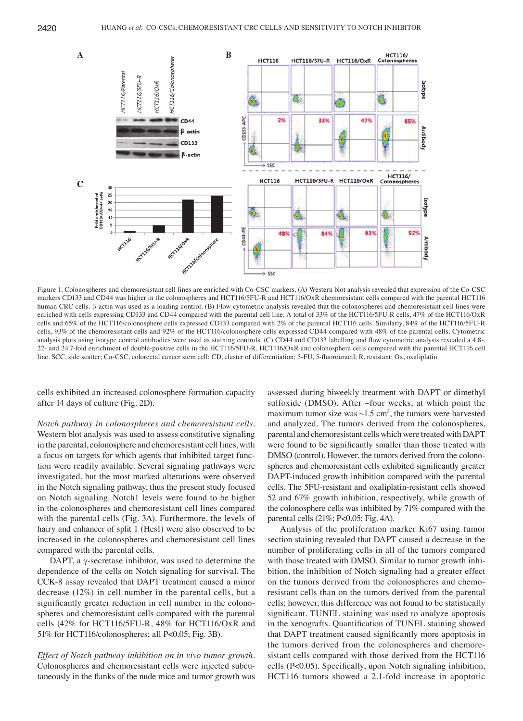

Figure 1. Colonospheres and chemoresistant cell lines are enriched with Co-CSC markers. (A) Western blot analysis revealed that expression of the Co-CSC markers CD133 and CD44 was higher in the colonospheres and HCT116/5FU-R and HCT116/OxR chemoresistant cells compared with the parental HCT116 human CRC cells. β-actin was used as a loading control. (B) Flow cytometric analysis revealed that the colonospheres and chemoresistant cell lines were enriched with cells expressing CD133 and CD44 compared with the parental cell line. A total of 33% of the HCT116/5FU-R cells, 47% of the HCT116/OxR cells and 65% of the HCT116/colonosphere cells expressed CD133 compared with 2% of the parental HCT116 cells. Similarly, 84% of the HCT116/5FU-R cells, 93% of the chemoresistant cells and 92% of the HCT116/colonosphere cells expressed CD44 compared with 48% of the parental cells. Cytometric analysis plots using isotype control antibodies were used as staining controls. (C) CD44 and CD133 labelling and flow cytometric analysis revealed a 4.8–, 22- and 24.7-fold enrichment of double-positive cells in the HCT116/5FU-R, HCT116/OxR and colonosphere cells compared with the parental HCT116 cell line. SCC, side scatter; Co‑CSC, colorectal cancer stem cell; CD, cluster of differentiation; 5‑FU, 5‑fluorouracil; R, resistant; Ox, oxaliplatin.

cells exhibited an increased colonosphere formation capacity after 14 days of culture (Fig. 2D).

*Notch pathway in colonospheres and chemoresistant cells.*  Western blot analysis was used to assess constitutive signaling in the parental, colonosphere and chemoresistant cell lines, with a focus on targets for which agents that inhibited target function were readily available. Several signaling pathways were investigated, but the most marked alterations were observed in the Notch signaling pathway, thus the present study focused on Notch signaling. Notch1 levels were found to be higher in the colonospheres and chemoresistant cell lines compared with the parental cells (Fig. 3A). Furthermore, the levels of hairy and enhancer of split 1 (Hes1) were also observed to be increased in the colonospheres and chemoresistant cell lines compared with the parental cells.

DAPT, a γ-secretase inhibitor, was used to determine the dependence of the cells on Notch signaling for survival. The CCK-8 assay revealed that DAPT treatment caused a minor decrease (12%) in cell number in the parental cells, but a significantly greater reduction in cell number in the colonospheres and chemoresistant cells compared with the parental cells (42% for HCT116/5FU-R, 48% for HCT116/OxR and 51% for HCT116/colonospheres; all P<0.05; Fig. 3B).

*Effect of Notch pathway inhibition on in vivo tumor growth.*  Colonospheres and chemoresistant cells were injected subcutaneously in the flanks of the nude mice and tumor growth was assessed during biweekly treatment with DAPT or dimethyl sulfoxide (DMSO). After ~four weeks, at which point the maximum tumor size was  $\sim 1.5$  cm<sup>3</sup>, the tumors were harvested and analyzed. The tumors derived from the colonospheres, parental and chemoresistant cells which were treated with DAPT were found to be significantly smaller than those treated with DMSO (control). However, the tumors derived from the colonospheres and chemoresistant cells exhibited significantly greater DAPT-induced growth inhibition compared with the parental cells. The 5FU-resistant and oxaliplatin-resistant cells showed 52 and 67% growth inhibition, respectively, while growth of the colonosphere cells was inhibited by 71% compared with the parental cells (21%; P<0.05; Fig. 4A).

Analysis of the proliferation marker Ki67 using tumor section staining revealed that DAPT caused a decrease in the number of proliferating cells in all of the tumors compared with those treated with DMSO. Similar to tumor growth inhibition, the inhibition of Notch signaling had a greater effect on the tumors derived from the colonospheres and chemoresistant cells than on the tumors derived from the parental cells; however, this difference was not found to be statistically significant. TUNEL staining was used to analyze apoptosis in the xenografts. Quantification of TUNEL staining showed that DAPT treatment caused significantly more apoptosis in the tumors derived from the colonospheres and chemoresistant cells compared with those derived from the HCT116 cells (P<0.05). Specifically, upon Notch signaling inhibition, HCT116 tumors showed a 2.1-fold increase in apoptotic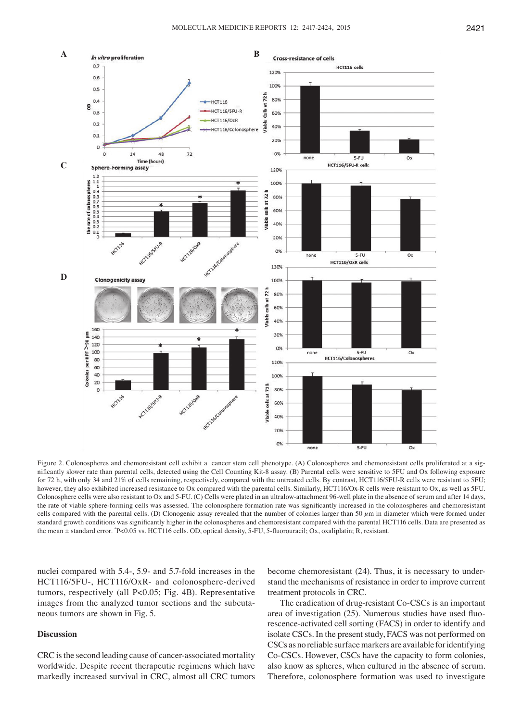

Figure 2. Colonospheres and chemoresistant cell exhibit a cancer stem cell phenotype. (A) Colonospheres and chemoresistant cells proliferated at a significantly slower rate than parental cells, detected using the Cell Counting Kit‑8 assay. (B) Parental cells were sensitive to 5FU and Ox following exposure for 72 h, with only 34 and 21% of cells remaining, respectively, compared with the untreated cells. By contrast, HCT116/5FU-R cells were resistant to 5FU; however, they also exhibited increased resistance to Ox compared with the parental cells. Similarly, HCT116/Ox-R cells were resistant to Ox, as well as 5FU. Colonosphere cells were also resistant to Ox and 5-FU. (C) Cells were plated in an ultralow-attachment 96-well plate in the absence of serum and after 14 days, the rate of viable sphere‑forming cells was assessed. The colonosphere formation rate was significantly increased in the colonospheres and chemoresistant cells compared with the parental cells. (D) Clonogenic assay revealed that the number of colonies larger than 50  $\mu$ m in diameter which were formed under standard growth conditions was significantly higher in the colonospheres and chemoresistant compared with the parental HCT116 cells. Data are presented as the mean ± standard error. \* P<0.05 vs. HCT116 cells. OD, optical density, 5‑FU, 5‑fluorouracil; Ox, oxaliplatin; R, resistant.

nuclei compared with 5.4-, 5.9- and 5.7-fold increases in the HCT116/5FU-, HCT116/OxR- and colonosphere-derived tumors, respectively (all P<0.05; Fig. 4B). Representative images from the analyzed tumor sections and the subcutaneous tumors are shown in Fig. 5.

# **Discussion**

CRC is the second leading cause of cancer-associated mortality worldwide. Despite recent therapeutic regimens which have markedly increased survival in CRC, almost all CRC tumors

become chemoresistant (24). Thus, it is necessary to understand the mechanisms of resistance in order to improve current treatment protocols in CRC.

The eradication of drug-resistant Co-CSCs is an important area of investigation (25). Numerous studies have used fluorescence-activated cell sorting (FACS) in order to identify and isolate CSCs. In the present study, FACS was not performed on CSCs as no reliable surface markers are available for identifying Co-CSCs. However, CSCs have the capacity to form colonies, also know as spheres, when cultured in the absence of serum. Therefore, colonosphere formation was used to investigate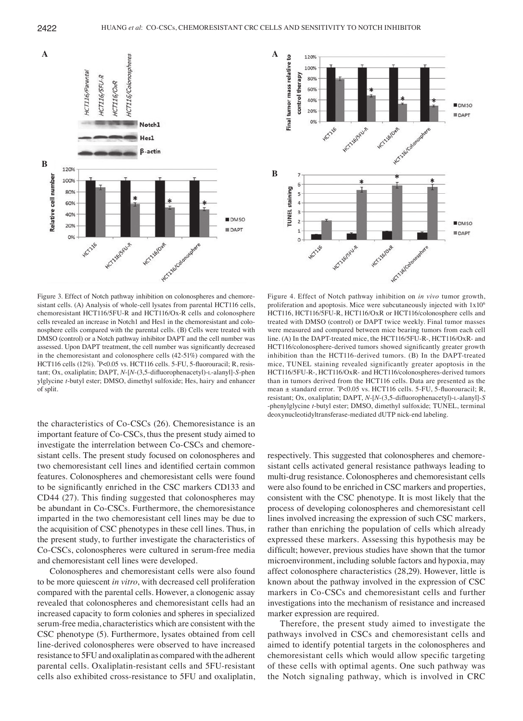

Figure 3. Effect of Notch pathway inhibition on colonospheres and chemoresistant cells. (A) Analysis of whole-cell lysates from parental HCT116 cells, chemoresistant HCT116/5FU-R and HCT116/Ox-R cells and colonosphere cells revealed an increase in Notch1 and Hes1 in the chemoresistant and colonosphere cells compared with the parental cells. (B) Cells were treated with DMSO (control) or a Notch pathway inhibitor DAPT and the cell number was assessed. Upon DAPT treatment, the cell number was significantly decreased in the chemoresistant and colonosphere cells (42-51%) compared with the HCT116 cells (12%). \* P<0.05 vs. HCT116 cells. 5‑FU, 5‑fluorouracil; R, resistant; Ox, oxaliplatin; DAPT, *N*-[*N*‑(3,5‑difluorophenacetyl)‑l-alanyl]-*S*-phen ylglycine *t*‑butyl ester; DMSO, dimethyl sulfoxide; Hes, hairy and enhancer of split.

the characteristics of Co-CSCs (26). Chemoresistance is an important feature of Co-CSCs, thus the present study aimed to investigate the interrelation between Co-CSCs and chemoresistant cells. The present study focused on colonospheres and two chemoresistant cell lines and identified certain common features. Colonospheres and chemoresistant cells were found to be significantly enriched in the CSC markers CD133 and CD44 (27). This finding suggested that colonospheres may be abundant in Co-CSCs. Furthermore, the chemoresistance imparted in the two chemoresistant cell lines may be due to the acquisition of CSC phenotypes in these cell lines. Thus, in the present study, to further investigate the characteristics of Co-CSCs, colonospheres were cultured in serum-free media and chemoresistant cell lines were developed.

Colonospheres and chemoresistant cells were also found to be more quiescent *in vitro*, with decreased cell proliferation compared with the parental cells. However, a clonogenic assay revealed that colonospheres and chemoresistant cells had an increased capacity to form colonies and spheres in specialized serum-free media, characteristics which are consistent with the CSC phenotype (5). Furthermore, lysates obtained from cell line-derived colonospheres were observed to have increased resistance to 5FU and oxaliplatin as compared with the adherent parental cells. Oxaliplatin-resistant cells and 5FU-resistant cells also exhibited cross-resistance to 5FU and oxaliplatin,



Figure 4. Effect of Notch pathway inhibition on *in vivo* tumor growth, proliferation and apoptosis. Mice were subcutaneously injected with 1x106 HCT116, HCT116/5FU-R, HCT116/OxR or HCT116/colonosphere cells and treated with DMSO (control) or DAPT twice weekly. Final tumor masses were measured and compared between mice bearing tumors from each cell line. (A) In the DAPT-treated mice, the HCT116/5FU-R-, HCT116/OxR- and HCT116/colonosphere-derived tumors showed significantly greater growth inhibition than the HCT116-derived tumors. (B) In the DAPT-treated mice, TUNEL staining revealed significantly greater apoptosis in the HCT116/5FU-R-, HCT116/OxR- and HCT116/colonospheres-derived tumors than in tumors derived from the HCT116 cells. Data are presented as the mean ± standard error. \* P<0.05 vs. HCT116 cells. 5‑FU, 5‑fluorouracil; R, resistant; Ox, oxaliplatin; DAPT, *N*-[*N*‑(3,5‑difluorophenacetyl)‑l-alanyl]-*S* -phenylglycine *t*‑butyl ester; DMSO, dimethyl sulfoxide; TUNEL, terminal deoxynucleotidyltransferase-mediated dUTP nick-end labeling.

respectively. This suggested that colonospheres and chemoresistant cells activated general resistance pathways leading to multi-drug resistance. Colonospheres and chemoresistant cells were also found to be enriched in CSC markers and properties, consistent with the CSC phenotype. It is most likely that the process of developing colonospheres and chemoresistant cell lines involved increasing the expression of such CSC markers, rather than enriching the population of cells which already expressed these markers. Assessing this hypothesis may be difficult; however, previous studies have shown that the tumor microenvironment, including soluble factors and hypoxia, may affect colonosphere characteristics (28,29). However, little is known about the pathway involved in the expression of CSC markers in Co-CSCs and chemoresistant cells and further investigations into the mechanism of resistance and increased marker expression are required.

Therefore, the present study aimed to investigate the pathways involved in CSCs and chemoresistant cells and aimed to identify potential targets in the colonospheres and chemoresistant cells which would allow specific targeting of these cells with optimal agents. One such pathway was the Notch signaling pathway, which is involved in CRC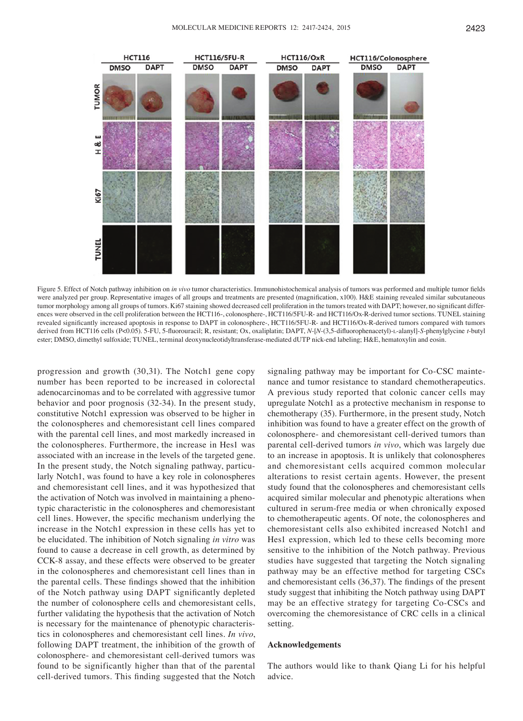

Figure 5. Effect of Notch pathway inhibition on *in vivo* tumor characteristics. Immunohistochemical analysis of tumors was performed and multiple tumor fields were analyzed per group. Representative images of all groups and treatments are presented (magnification, x100). H&E staining revealed similar subcutaneous tumor morphology among all groups of tumors. Ki67 staining showed decreased cell proliferation in the tumors treated with DAPT; however, no significant differences were observed in the cell proliferation between the HCT116-, colonosphere-, HCT116/5FU-R- and HCT116/Ox-R-derived tumor sections. TUNEL staining revealed significantly increased apoptosis in response to DAPT in colonosphere‑, HCT116/5FU-R- and HCT116/Ox-R-derived tumors compared with tumors derived from HCT116 cells (P<0.05). 5‑FU, 5‑fluorouracil; R, resistant; Ox, oxaliplatin; DAPT, *N*-[*N*‑(3,5‑difluorophenacetyl)‑l-alanyl]-*S*-phenylglycine *t*-butyl ester; DMSO, dimethyl sulfoxide; TUNEL, terminal deoxynucleotidyltransferase‑mediated dUTP nick‑end labeling; H&E, hematoxylin and eosin.

progression and growth (30,31). The Notch1 gene copy number has been reported to be increased in colorectal adenocarcinomas and to be correlated with aggressive tumor behavior and poor prognosis (32-34). In the present study, constitutive Notch1 expression was observed to be higher in the colonospheres and chemoresistant cell lines compared with the parental cell lines, and most markedly increased in the colonospheres. Furthermore, the increase in Hes1 was associated with an increase in the levels of the targeted gene. In the present study, the Notch signaling pathway, particularly Notch1, was found to have a key role in colonospheres and chemoresistant cell lines, and it was hypothesized that the activation of Notch was involved in maintaining a phenotypic characteristic in the colonospheres and chemoresistant cell lines. However, the specific mechanism underlying the increase in the Notch1 expression in these cells has yet to be elucidated. The inhibition of Notch signaling *in vitro* was found to cause a decrease in cell growth, as determined by CCK-8 assay, and these effects were observed to be greater in the colonospheres and chemoresistant cell lines than in the parental cells. These findings showed that the inhibition of the Notch pathway using DAPT significantly depleted the number of colonosphere cells and chemoresistant cells, further validating the hypothesis that the activation of Notch is necessary for the maintenance of phenotypic characteristics in colonospheres and chemoresistant cell lines. *In vivo*, following DAPT treatment, the inhibition of the growth of colonosphere- and chemoresistant cell-derived tumors was found to be significantly higher than that of the parental cell‑derived tumors. This finding suggested that the Notch

signaling pathway may be important for Co-CSC maintenance and tumor resistance to standard chemotherapeutics. A previous study reported that colonic cancer cells may upregulate Notch1 as a protective mechanism in response to chemotherapy (35). Furthermore, in the present study, Notch inhibition was found to have a greater effect on the growth of colonosphere- and chemoresistant cell-derived tumors than parental cell-derived tumors *in vivo*, which was largely due to an increase in apoptosis. It is unlikely that colonospheres and chemoresistant cells acquired common molecular alterations to resist certain agents. However, the present study found that the colonospheres and chemoresistant cells acquired similar molecular and phenotypic alterations when cultured in serum-free media or when chronically exposed to chemotherapeutic agents. Of note, the colonospheres and chemoresistant cells also exhibited increased Notch1 and Hes1 expression, which led to these cells becoming more sensitive to the inhibition of the Notch pathway. Previous studies have suggested that targeting the Notch signaling pathway may be an effective method for targeting CSCs and chemoresistant cells (36,37). The findings of the present study suggest that inhibiting the Notch pathway using DAPT may be an effective strategy for targeting Co-CSCs and overcoming the chemoresistance of CRC cells in a clinical setting.

#### **Acknowledgements**

The authors would like to thank Qiang Li for his helpful advice.